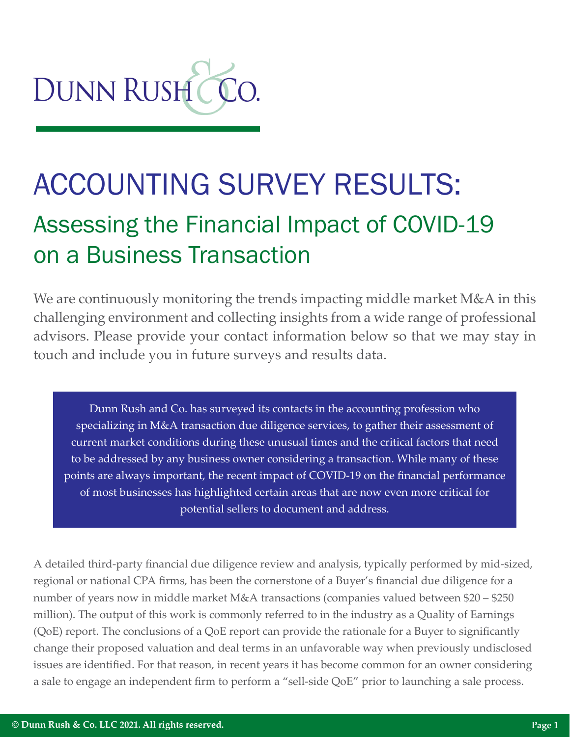

# ACCOUNTING SURVEY RESULTS: Assessing the Financial Impact of COVID-19 on a Business Transaction

We are continuously monitoring the trends impacting middle market M&A in this challenging environment and collecting insights from a wide range of professional advisors. Please provide your contact information below so that we may stay in touch and include you in future surveys and results data.

Dunn Rush and Co. has surveyed its contacts in the accounting profession who specializing in M&A transaction due diligence services, to gather their assessment of current market conditions during these unusual times and the critical factors that need to be addressed by any business owner considering a transaction. While many of these points are always important, the recent impact of COVID-19 on the financial performance of most businesses has highlighted certain areas that are now even more critical for potential sellers to document and address.

A detailed third-party financial due diligence review and analysis, typically performed by mid-sized, regional or national CPA firms, has been the cornerstone of a Buyer's financial due diligence for a number of years now in middle market M&A transactions (companies valued between \$20 – \$250 million). The output of this work is commonly referred to in the industry as a Quality of Earnings (QoE) report. The conclusions of a QoE report can provide the rationale for a Buyer to significantly change their proposed valuation and deal terms in an unfavorable way when previously undisclosed issues are identified. For that reason, in recent years it has become common for an owner considering a sale to engage an independent firm to perform a "sell-side QoE" prior to launching a sale process.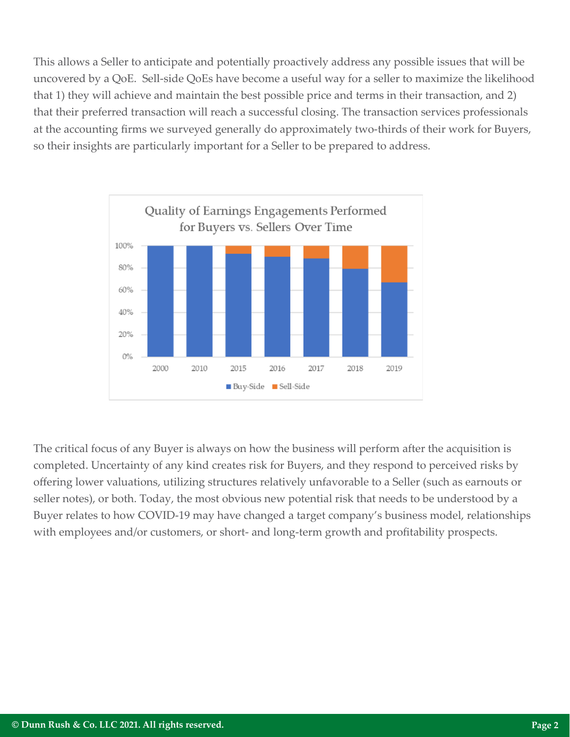This allows a Seller to anticipate and potentially proactively address any possible issues that will be uncovered by a QoE. Sell-side QoEs have become a useful way for a seller to maximize the likelihood that 1) they will achieve and maintain the best possible price and terms in their transaction, and 2) that their preferred transaction will reach a successful closing. The transaction services professionals at the accounting firms we surveyed generally do approximately two-thirds of their work for Buyers, so their insights are particularly important for a Seller to be prepared to address.



The critical focus of any Buyer is always on how the business will perform after the acquisition is completed. Uncertainty of any kind creates risk for Buyers, and they respond to perceived risks by offering lower valuations, utilizing structures relatively unfavorable to a Seller (such as earnouts or seller notes), or both. Today, the most obvious new potential risk that needs to be understood by a Buyer relates to how COVID-19 may have changed a target company's business model, relationships with employees and/or customers, or short- and long-term growth and profitability prospects.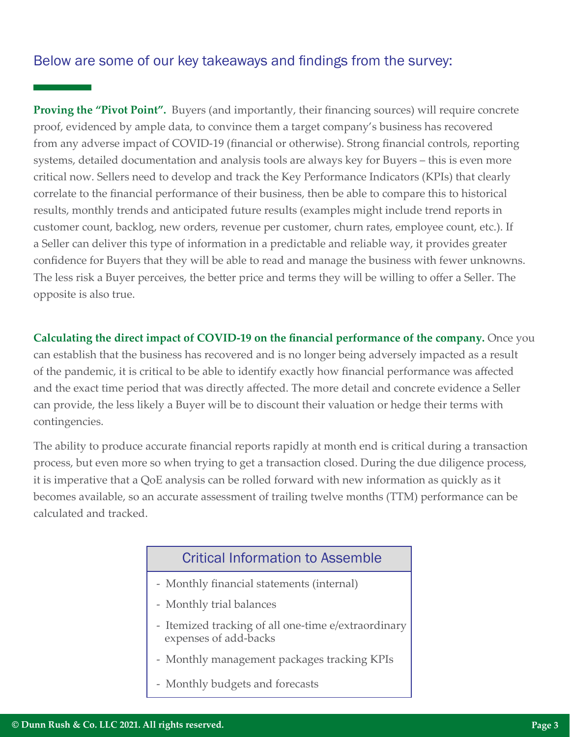## Below are some of our key takeaways and findings from the survey:

**Proving the "Pivot Point".** Buyers (and importantly, their financing sources) will require concrete proof, evidenced by ample data, to convince them a target company's business has recovered from any adverse impact of COVID-19 (financial or otherwise). Strong financial controls, reporting systems, detailed documentation and analysis tools are always key for Buyers – this is even more critical now. Sellers need to develop and track the Key Performance Indicators (KPIs) that clearly correlate to the financial performance of their business, then be able to compare this to historical results, monthly trends and anticipated future results (examples might include trend reports in customer count, backlog, new orders, revenue per customer, churn rates, employee count, etc.). If a Seller can deliver this type of information in a predictable and reliable way, it provides greater confidence for Buyers that they will be able to read and manage the business with fewer unknowns. The less risk a Buyer perceives, the better price and terms they will be willing to offer a Seller. The opposite is also true.

**Calculating the direct impact of COVID-19 on the financial performance of the company.** Once you can establish that the business has recovered and is no longer being adversely impacted as a result of the pandemic, it is critical to be able to identify exactly how financial performance was affected and the exact time period that was directly affected. The more detail and concrete evidence a Seller can provide, the less likely a Buyer will be to discount their valuation or hedge their terms with contingencies.

The ability to produce accurate financial reports rapidly at month end is critical during a transaction process, but even more so when trying to get a transaction closed. During the due diligence process, it is imperative that a QoE analysis can be rolled forward with new information as quickly as it becomes available, so an accurate assessment of trailing twelve months (TTM) performance can be calculated and tracked.

### Critical Information to Assemble

- Monthly financial statements (internal)
- Monthly trial balances
- Itemized tracking of all one-time e/extraordinary expenses of add-backs
- Monthly management packages tracking KPIs
- Monthly budgets and forecasts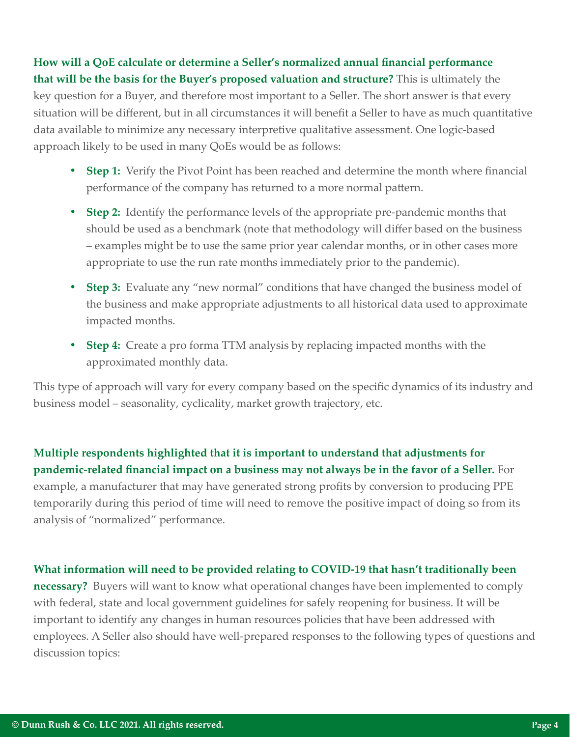**How will a QoE calculate or determine a Seller's normalized annual financial performance that will be the basis for the Buyer's proposed valuation and structure?** This is ultimately the key question for a Buyer, and therefore most important to a Seller. The short answer is that every situation will be different, but in all circumstances it will benefit a Seller to have as much quantitative data available to minimize any necessary interpretive qualitative assessment. One logic-based approach likely to be used in many QoEs would be as follows:

- **• Step 1:** Verify the Pivot Point has been reached and determine the month where financial performance of the company has returned to a more normal pattern.
- **• Step 2:** Identify the performance levels of the appropriate pre-pandemic months that should be used as a benchmark (note that methodology will differ based on the business – examples might be to use the same prior year calendar months, or in other cases more appropriate to use the run rate months immediately prior to the pandemic).
- **• Step 3:** Evaluate any "new normal" conditions that have changed the business model of the business and make appropriate adjustments to all historical data used to approximate impacted months.
- **• Step 4:** Create a pro forma TTM analysis by replacing impacted months with the approximated monthly data.

This type of approach will vary for every company based on the specific dynamics of its industry and business model – seasonality, cyclicality, market growth trajectory, etc.

**Multiple respondents highlighted that it is important to understand that adjustments for pandemic-related financial impact on a business may not always be in the favor of a Seller.** For example, a manufacturer that may have generated strong profits by conversion to producing PPE temporarily during this period of time will need to remove the positive impact of doing so from its analysis of "normalized" performance.

#### **What information will need to be provided relating to COVID-19 that hasn't traditionally been**

**necessary?** Buyers will want to know what operational changes have been implemented to comply with federal, state and local government guidelines for safely reopening for business. It will be important to identify any changes in human resources policies that have been addressed with employees. A Seller also should have well-prepared responses to the following types of questions and discussion topics: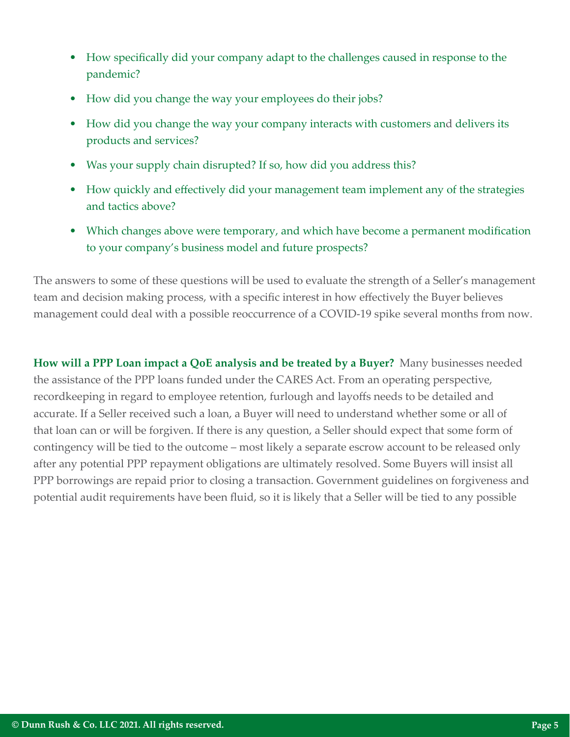- How specifically did your company adapt to the challenges caused in response to the pandemic?
- How did you change the way your employees do their jobs?
- How did you change the way your company interacts with customers and delivers its products and services?
- Was your supply chain disrupted? If so, how did you address this?
- How quickly and effectively did your management team implement any of the strategies and tactics above?
- Which changes above were temporary, and which have become a permanent modification to your company's business model and future prospects?

The answers to some of these questions will be used to evaluate the strength of a Seller's management team and decision making process, with a specific interest in how effectively the Buyer believes management could deal with a possible reoccurrence of a COVID-19 spike several months from now.

**How will a PPP Loan impact a QoE analysis and be treated by a Buyer?** Many businesses needed the assistance of the PPP loans funded under the CARES Act. From an operating perspective, recordkeeping in regard to employee retention, furlough and layoffs needs to be detailed and accurate. If a Seller received such a loan, a Buyer will need to understand whether some or all of that loan can or will be forgiven. If there is any question, a Seller should expect that some form of contingency will be tied to the outcome – most likely a separate escrow account to be released only after any potential PPP repayment obligations are ultimately resolved. Some Buyers will insist all PPP borrowings are repaid prior to closing a transaction. Government guidelines on forgiveness and potential audit requirements have been fluid, so it is likely that a Seller will be tied to any possible